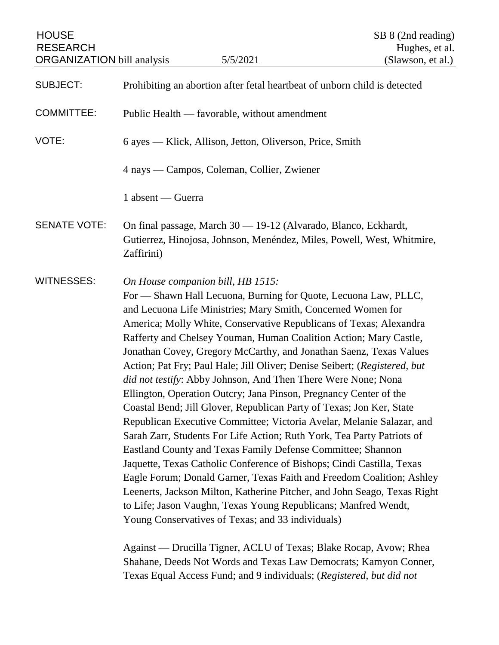| <b>HOUSE</b><br><b>RESEARCH</b><br><b>ORGANIZATION</b> bill analysis | 5/5/2021                                                                                                                                                                                                                                                                                                                                                                                                                                                                                                                                                                                                                                                                                                                                                                                                                                                                                                                                                                                                                                                                                                                                                                                                                                                                                                                     | SB 8 (2nd reading)<br>Hughes, et al.<br>(Slawson, et al.) |
|----------------------------------------------------------------------|------------------------------------------------------------------------------------------------------------------------------------------------------------------------------------------------------------------------------------------------------------------------------------------------------------------------------------------------------------------------------------------------------------------------------------------------------------------------------------------------------------------------------------------------------------------------------------------------------------------------------------------------------------------------------------------------------------------------------------------------------------------------------------------------------------------------------------------------------------------------------------------------------------------------------------------------------------------------------------------------------------------------------------------------------------------------------------------------------------------------------------------------------------------------------------------------------------------------------------------------------------------------------------------------------------------------------|-----------------------------------------------------------|
| <b>SUBJECT:</b>                                                      | Prohibiting an abortion after fetal heartbeat of unborn child is detected                                                                                                                                                                                                                                                                                                                                                                                                                                                                                                                                                                                                                                                                                                                                                                                                                                                                                                                                                                                                                                                                                                                                                                                                                                                    |                                                           |
| <b>COMMITTEE:</b>                                                    | Public Health — favorable, without amendment                                                                                                                                                                                                                                                                                                                                                                                                                                                                                                                                                                                                                                                                                                                                                                                                                                                                                                                                                                                                                                                                                                                                                                                                                                                                                 |                                                           |
| VOTE:                                                                | 6 ayes — Klick, Allison, Jetton, Oliverson, Price, Smith                                                                                                                                                                                                                                                                                                                                                                                                                                                                                                                                                                                                                                                                                                                                                                                                                                                                                                                                                                                                                                                                                                                                                                                                                                                                     |                                                           |
|                                                                      | 4 nays — Campos, Coleman, Collier, Zwiener                                                                                                                                                                                                                                                                                                                                                                                                                                                                                                                                                                                                                                                                                                                                                                                                                                                                                                                                                                                                                                                                                                                                                                                                                                                                                   |                                                           |
|                                                                      | 1 absent — Guerra                                                                                                                                                                                                                                                                                                                                                                                                                                                                                                                                                                                                                                                                                                                                                                                                                                                                                                                                                                                                                                                                                                                                                                                                                                                                                                            |                                                           |
| <b>SENATE VOTE:</b>                                                  | On final passage, March 30 - 19-12 (Alvarado, Blanco, Eckhardt,<br>Gutierrez, Hinojosa, Johnson, Menéndez, Miles, Powell, West, Whitmire,<br>Zaffirini)                                                                                                                                                                                                                                                                                                                                                                                                                                                                                                                                                                                                                                                                                                                                                                                                                                                                                                                                                                                                                                                                                                                                                                      |                                                           |
| <b>WITNESSES:</b>                                                    | On House companion bill, HB 1515:<br>For — Shawn Hall Lecuona, Burning for Quote, Lecuona Law, PLLC,<br>and Lecuona Life Ministries; Mary Smith, Concerned Women for<br>America; Molly White, Conservative Republicans of Texas; Alexandra<br>Rafferty and Chelsey Youman, Human Coalition Action; Mary Castle,<br>Jonathan Covey, Gregory McCarthy, and Jonathan Saenz, Texas Values<br>Action; Pat Fry; Paul Hale; Jill Oliver; Denise Seibert; (Registered, but<br>did not testify: Abby Johnson, And Then There Were None; Nona<br>Ellington, Operation Outcry; Jana Pinson, Pregnancy Center of the<br>Coastal Bend; Jill Glover, Republican Party of Texas; Jon Ker, State<br>Republican Executive Committee; Victoria Avelar, Melanie Salazar, and<br>Sarah Zarr, Students For Life Action; Ruth York, Tea Party Patriots of<br>Eastland County and Texas Family Defense Committee; Shannon<br>Jaquette, Texas Catholic Conference of Bishops; Cindi Castilla, Texas<br>Eagle Forum; Donald Garner, Texas Faith and Freedom Coalition; Ashley<br>Leenerts, Jackson Milton, Katherine Pitcher, and John Seago, Texas Right<br>to Life; Jason Vaughn, Texas Young Republicans; Manfred Wendt,<br>Young Conservatives of Texas; and 33 individuals)<br>Against — Drucilla Tigner, ACLU of Texas; Blake Rocap, Avow; Rhea |                                                           |

Shahane, Deeds Not Words and Texas Law Democrats; Kamyon Conner, Texas Equal Access Fund; and 9 individuals; (*Registered, but did not*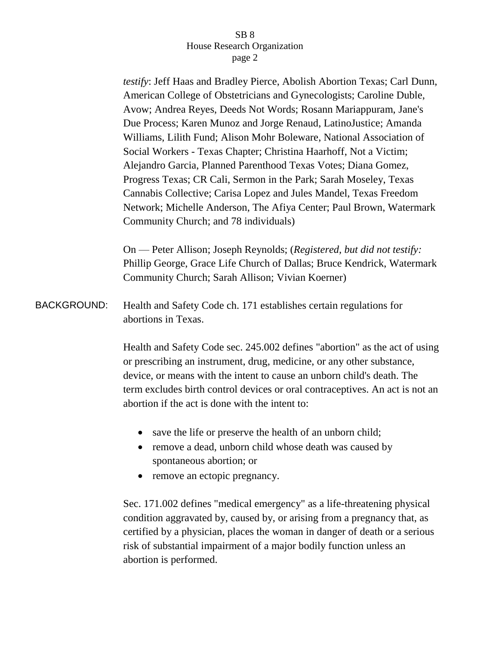*testify*: Jeff Haas and Bradley Pierce, Abolish Abortion Texas; Carl Dunn, American College of Obstetricians and Gynecologists; Caroline Duble, Avow; Andrea Reyes, Deeds Not Words; Rosann Mariappuram, Jane's Due Process; Karen Munoz and Jorge Renaud, LatinoJustice; Amanda Williams, Lilith Fund; Alison Mohr Boleware, National Association of Social Workers - Texas Chapter; Christina Haarhoff, Not a Victim; Alejandro Garcia, Planned Parenthood Texas Votes; Diana Gomez, Progress Texas; CR Cali, Sermon in the Park; Sarah Moseley, Texas Cannabis Collective; Carisa Lopez and Jules Mandel, Texas Freedom Network; Michelle Anderson, The Afiya Center; Paul Brown, Watermark Community Church; and 78 individuals)

On — Peter Allison; Joseph Reynolds; (*Registered, but did not testify:* Phillip George, Grace Life Church of Dallas; Bruce Kendrick, Watermark Community Church; Sarah Allison; Vivian Koerner)

BACKGROUND: Health and Safety Code ch. 171 establishes certain regulations for abortions in Texas.

> Health and Safety Code sec. 245.002 defines "abortion" as the act of using or prescribing an instrument, drug, medicine, or any other substance, device, or means with the intent to cause an unborn child's death. The term excludes birth control devices or oral contraceptives. An act is not an abortion if the act is done with the intent to:

- save the life or preserve the health of an unborn child;
- remove a dead, unborn child whose death was caused by spontaneous abortion; or
- remove an ectopic pregnancy.

Sec. 171.002 defines "medical emergency" as a life-threatening physical condition aggravated by, caused by, or arising from a pregnancy that, as certified by a physician, places the woman in danger of death or a serious risk of substantial impairment of a major bodily function unless an abortion is performed.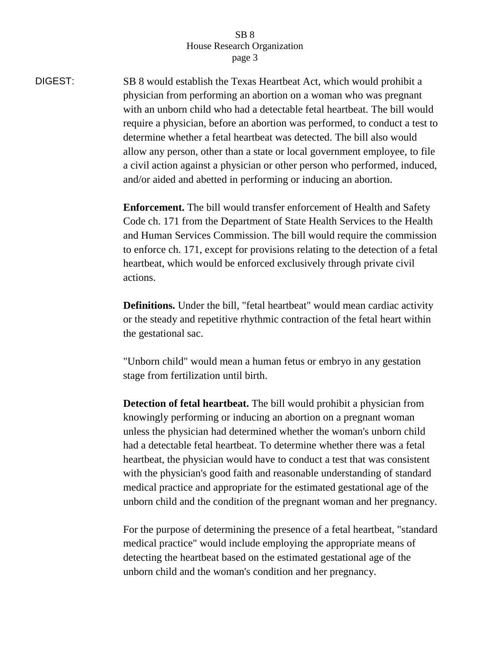DIGEST: SB 8 would establish the Texas Heartbeat Act, which would prohibit a physician from performing an abortion on a woman who was pregnant with an unborn child who had a detectable fetal heartbeat. The bill would require a physician, before an abortion was performed, to conduct a test to determine whether a fetal heartbeat was detected. The bill also would allow any person, other than a state or local government employee, to file a civil action against a physician or other person who performed, induced, and/or aided and abetted in performing or inducing an abortion.

> **Enforcement.** The bill would transfer enforcement of Health and Safety Code ch. 171 from the Department of State Health Services to the Health and Human Services Commission. The bill would require the commission to enforce ch. 171, except for provisions relating to the detection of a fetal heartbeat, which would be enforced exclusively through private civil actions.

**Definitions.** Under the bill, "fetal heartbeat" would mean cardiac activity or the steady and repetitive rhythmic contraction of the fetal heart within the gestational sac.

"Unborn child" would mean a human fetus or embryo in any gestation stage from fertilization until birth.

**Detection of fetal heartbeat.** The bill would prohibit a physician from knowingly performing or inducing an abortion on a pregnant woman unless the physician had determined whether the woman's unborn child had a detectable fetal heartbeat. To determine whether there was a fetal heartbeat, the physician would have to conduct a test that was consistent with the physician's good faith and reasonable understanding of standard medical practice and appropriate for the estimated gestational age of the unborn child and the condition of the pregnant woman and her pregnancy.

For the purpose of determining the presence of a fetal heartbeat, "standard medical practice" would include employing the appropriate means of detecting the heartbeat based on the estimated gestational age of the unborn child and the woman's condition and her pregnancy.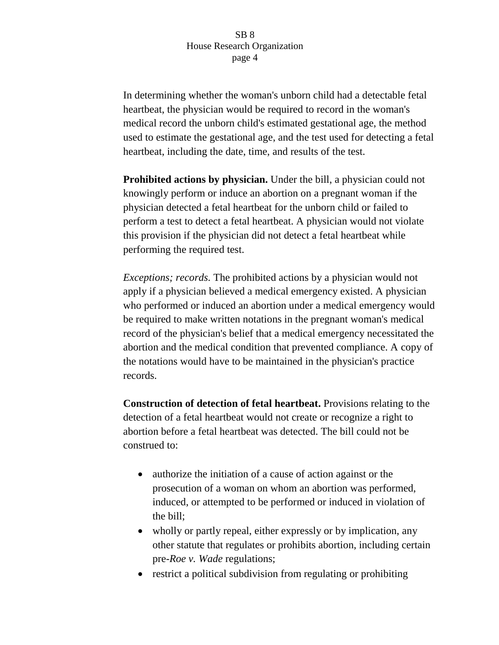In determining whether the woman's unborn child had a detectable fetal heartbeat, the physician would be required to record in the woman's medical record the unborn child's estimated gestational age, the method used to estimate the gestational age, and the test used for detecting a fetal heartbeat, including the date, time, and results of the test.

**Prohibited actions by physician.** Under the bill, a physician could not knowingly perform or induce an abortion on a pregnant woman if the physician detected a fetal heartbeat for the unborn child or failed to perform a test to detect a fetal heartbeat. A physician would not violate this provision if the physician did not detect a fetal heartbeat while performing the required test.

*Exceptions; records.* The prohibited actions by a physician would not apply if a physician believed a medical emergency existed. A physician who performed or induced an abortion under a medical emergency would be required to make written notations in the pregnant woman's medical record of the physician's belief that a medical emergency necessitated the abortion and the medical condition that prevented compliance. A copy of the notations would have to be maintained in the physician's practice records.

**Construction of detection of fetal heartbeat.** Provisions relating to the detection of a fetal heartbeat would not create or recognize a right to abortion before a fetal heartbeat was detected. The bill could not be construed to:

- authorize the initiation of a cause of action against or the prosecution of a woman on whom an abortion was performed, induced, or attempted to be performed or induced in violation of the bill;
- wholly or partly repeal, either expressly or by implication, any other statute that regulates or prohibits abortion, including certain pre-*Roe v. Wade* regulations;
- restrict a political subdivision from regulating or prohibiting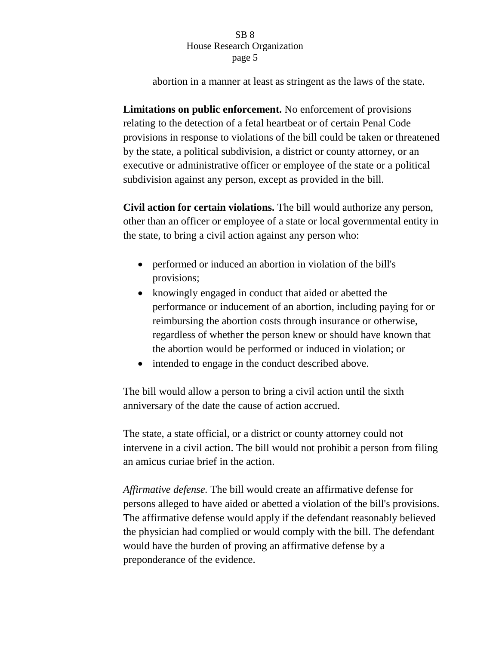abortion in a manner at least as stringent as the laws of the state.

**Limitations on public enforcement.** No enforcement of provisions relating to the detection of a fetal heartbeat or of certain Penal Code provisions in response to violations of the bill could be taken or threatened by the state, a political subdivision, a district or county attorney, or an executive or administrative officer or employee of the state or a political subdivision against any person, except as provided in the bill.

**Civil action for certain violations.** The bill would authorize any person, other than an officer or employee of a state or local governmental entity in the state, to bring a civil action against any person who:

- performed or induced an abortion in violation of the bill's provisions;
- knowingly engaged in conduct that aided or abetted the performance or inducement of an abortion, including paying for or reimbursing the abortion costs through insurance or otherwise, regardless of whether the person knew or should have known that the abortion would be performed or induced in violation; or
- intended to engage in the conduct described above.

The bill would allow a person to bring a civil action until the sixth anniversary of the date the cause of action accrued.

The state, a state official, or a district or county attorney could not intervene in a civil action. The bill would not prohibit a person from filing an amicus curiae brief in the action.

*Affirmative defense.* The bill would create an affirmative defense for persons alleged to have aided or abetted a violation of the bill's provisions. The affirmative defense would apply if the defendant reasonably believed the physician had complied or would comply with the bill. The defendant would have the burden of proving an affirmative defense by a preponderance of the evidence.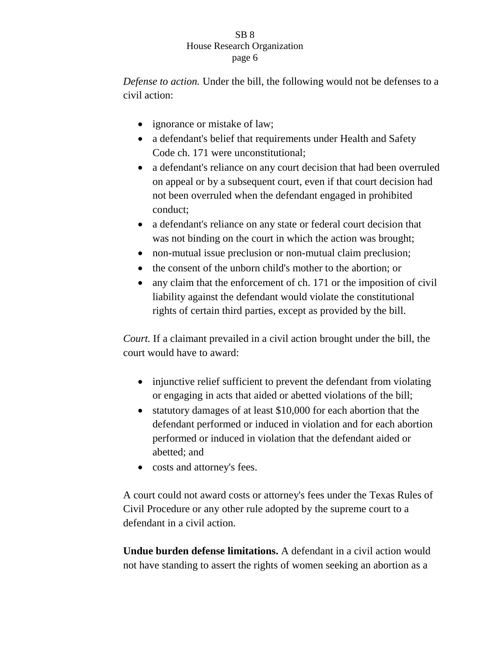*Defense to action.* Under the bill, the following would not be defenses to a civil action:

- ignorance or mistake of law;
- a defendant's belief that requirements under Health and Safety Code ch. 171 were unconstitutional;
- a defendant's reliance on any court decision that had been overruled on appeal or by a subsequent court, even if that court decision had not been overruled when the defendant engaged in prohibited conduct;
- a defendant's reliance on any state or federal court decision that was not binding on the court in which the action was brought;
- non-mutual issue preclusion or non-mutual claim preclusion;
- the consent of the unborn child's mother to the abortion; or
- any claim that the enforcement of ch. 171 or the imposition of civil liability against the defendant would violate the constitutional rights of certain third parties, except as provided by the bill.

*Court.* If a claimant prevailed in a civil action brought under the bill, the court would have to award:

- injunctive relief sufficient to prevent the defendant from violating or engaging in acts that aided or abetted violations of the bill;
- statutory damages of at least \$10,000 for each abortion that the defendant performed or induced in violation and for each abortion performed or induced in violation that the defendant aided or abetted; and
- costs and attorney's fees.

A court could not award costs or attorney's fees under the Texas Rules of Civil Procedure or any other rule adopted by the supreme court to a defendant in a civil action.

**Undue burden defense limitations.** A defendant in a civil action would not have standing to assert the rights of women seeking an abortion as a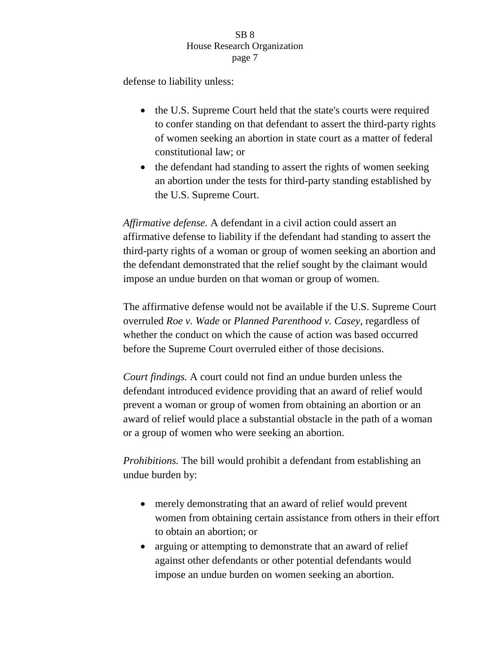defense to liability unless:

- the U.S. Supreme Court held that the state's courts were required to confer standing on that defendant to assert the third-party rights of women seeking an abortion in state court as a matter of federal constitutional law; or
- the defendant had standing to assert the rights of women seeking an abortion under the tests for third-party standing established by the U.S. Supreme Court.

*Affirmative defense.* A defendant in a civil action could assert an affirmative defense to liability if the defendant had standing to assert the third-party rights of a woman or group of women seeking an abortion and the defendant demonstrated that the relief sought by the claimant would impose an undue burden on that woman or group of women.

The affirmative defense would not be available if the U.S. Supreme Court overruled *Roe v. Wade* or *Planned Parenthood v. Casey*, regardless of whether the conduct on which the cause of action was based occurred before the Supreme Court overruled either of those decisions.

*Court findings.* A court could not find an undue burden unless the defendant introduced evidence providing that an award of relief would prevent a woman or group of women from obtaining an abortion or an award of relief would place a substantial obstacle in the path of a woman or a group of women who were seeking an abortion.

*Prohibitions.* The bill would prohibit a defendant from establishing an undue burden by:

- merely demonstrating that an award of relief would prevent women from obtaining certain assistance from others in their effort to obtain an abortion; or
- arguing or attempting to demonstrate that an award of relief against other defendants or other potential defendants would impose an undue burden on women seeking an abortion.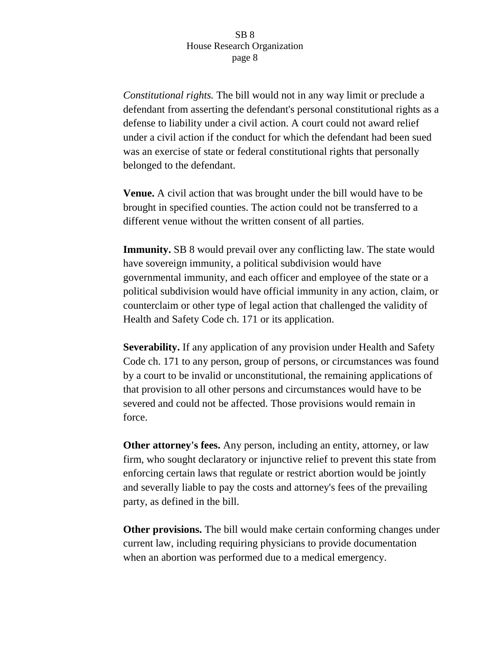*Constitutional rights.* The bill would not in any way limit or preclude a defendant from asserting the defendant's personal constitutional rights as a defense to liability under a civil action. A court could not award relief under a civil action if the conduct for which the defendant had been sued was an exercise of state or federal constitutional rights that personally belonged to the defendant.

**Venue.** A civil action that was brought under the bill would have to be brought in specified counties. The action could not be transferred to a different venue without the written consent of all parties.

**Immunity.** SB 8 would prevail over any conflicting law. The state would have sovereign immunity, a political subdivision would have governmental immunity, and each officer and employee of the state or a political subdivision would have official immunity in any action, claim, or counterclaim or other type of legal action that challenged the validity of Health and Safety Code ch. 171 or its application.

**Severability.** If any application of any provision under Health and Safety Code ch. 171 to any person, group of persons, or circumstances was found by a court to be invalid or unconstitutional, the remaining applications of that provision to all other persons and circumstances would have to be severed and could not be affected. Those provisions would remain in force.

**Other attorney's fees.** Any person, including an entity, attorney, or law firm, who sought declaratory or injunctive relief to prevent this state from enforcing certain laws that regulate or restrict abortion would be jointly and severally liable to pay the costs and attorney's fees of the prevailing party, as defined in the bill.

**Other provisions.** The bill would make certain conforming changes under current law, including requiring physicians to provide documentation when an abortion was performed due to a medical emergency.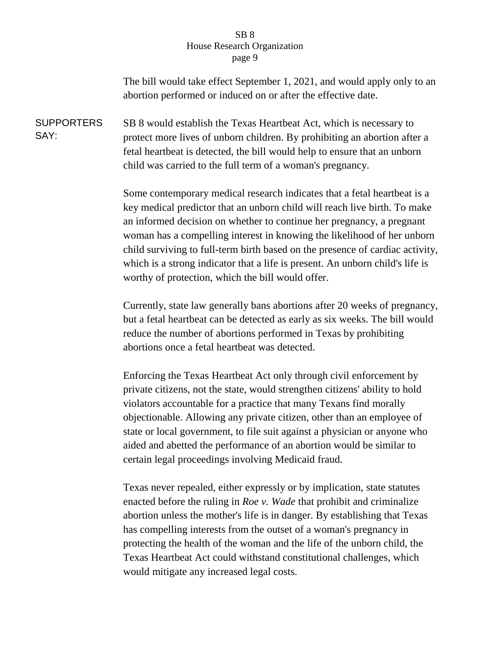The bill would take effect September 1, 2021, and would apply only to an abortion performed or induced on or after the effective date.

**SUPPORTERS** SAY: SB 8 would establish the Texas Heartbeat Act, which is necessary to protect more lives of unborn children. By prohibiting an abortion after a fetal heartbeat is detected, the bill would help to ensure that an unborn child was carried to the full term of a woman's pregnancy.

> Some contemporary medical research indicates that a fetal heartbeat is a key medical predictor that an unborn child will reach live birth. To make an informed decision on whether to continue her pregnancy, a pregnant woman has a compelling interest in knowing the likelihood of her unborn child surviving to full-term birth based on the presence of cardiac activity, which is a strong indicator that a life is present. An unborn child's life is worthy of protection, which the bill would offer.

> Currently, state law generally bans abortions after 20 weeks of pregnancy, but a fetal heartbeat can be detected as early as six weeks. The bill would reduce the number of abortions performed in Texas by prohibiting abortions once a fetal heartbeat was detected.

Enforcing the Texas Heartbeat Act only through civil enforcement by private citizens, not the state, would strengthen citizens' ability to hold violators accountable for a practice that many Texans find morally objectionable. Allowing any private citizen, other than an employee of state or local government, to file suit against a physician or anyone who aided and abetted the performance of an abortion would be similar to certain legal proceedings involving Medicaid fraud.

Texas never repealed, either expressly or by implication, state statutes enacted before the ruling in *Roe v. Wade* that prohibit and criminalize abortion unless the mother's life is in danger. By establishing that Texas has compelling interests from the outset of a woman's pregnancy in protecting the health of the woman and the life of the unborn child, the Texas Heartbeat Act could withstand constitutional challenges, which would mitigate any increased legal costs.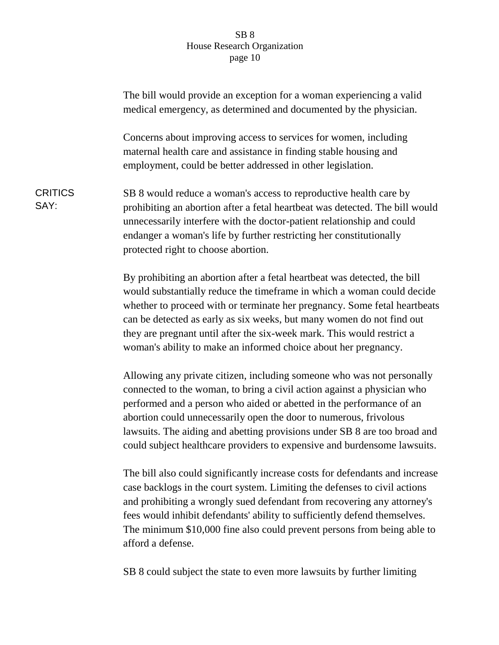|                        | The bill would provide an exception for a woman experiencing a valid<br>medical emergency, as determined and documented by the physician.                                                                                                                                                                                                                                                                                                               |
|------------------------|---------------------------------------------------------------------------------------------------------------------------------------------------------------------------------------------------------------------------------------------------------------------------------------------------------------------------------------------------------------------------------------------------------------------------------------------------------|
|                        | Concerns about improving access to services for women, including<br>maternal health care and assistance in finding stable housing and<br>employment, could be better addressed in other legislation.                                                                                                                                                                                                                                                    |
| <b>CRITICS</b><br>SAY: | SB 8 would reduce a woman's access to reproductive health care by<br>prohibiting an abortion after a fetal heartbeat was detected. The bill would<br>unnecessarily interfere with the doctor-patient relationship and could<br>endanger a woman's life by further restricting her constitutionally<br>protected right to choose abortion.                                                                                                               |
|                        | By prohibiting an abortion after a fetal heartbeat was detected, the bill<br>would substantially reduce the timeframe in which a woman could decide<br>whether to proceed with or terminate her pregnancy. Some fetal heartbeats<br>can be detected as early as six weeks, but many women do not find out<br>they are pregnant until after the six-week mark. This would restrict a<br>woman's ability to make an informed choice about her pregnancy.  |
|                        | Allowing any private citizen, including someone who was not personally<br>connected to the woman, to bring a civil action against a physician who<br>performed and a person who aided or abetted in the performance of an<br>abortion could unnecessarily open the door to numerous, frivolous<br>lawsuits. The aiding and abetting provisions under SB 8 are too broad and<br>could subject healthcare providers to expensive and burdensome lawsuits. |
|                        | The bill also could significantly increase costs for defendants and increase                                                                                                                                                                                                                                                                                                                                                                            |

The bill also could significantly increase costs for defendants and increase case backlogs in the court system. Limiting the defenses to civil actions and prohibiting a wrongly sued defendant from recovering any attorney's fees would inhibit defendants' ability to sufficiently defend themselves. The minimum \$10,000 fine also could prevent persons from being able to afford a defense.

SB 8 could subject the state to even more lawsuits by further limiting